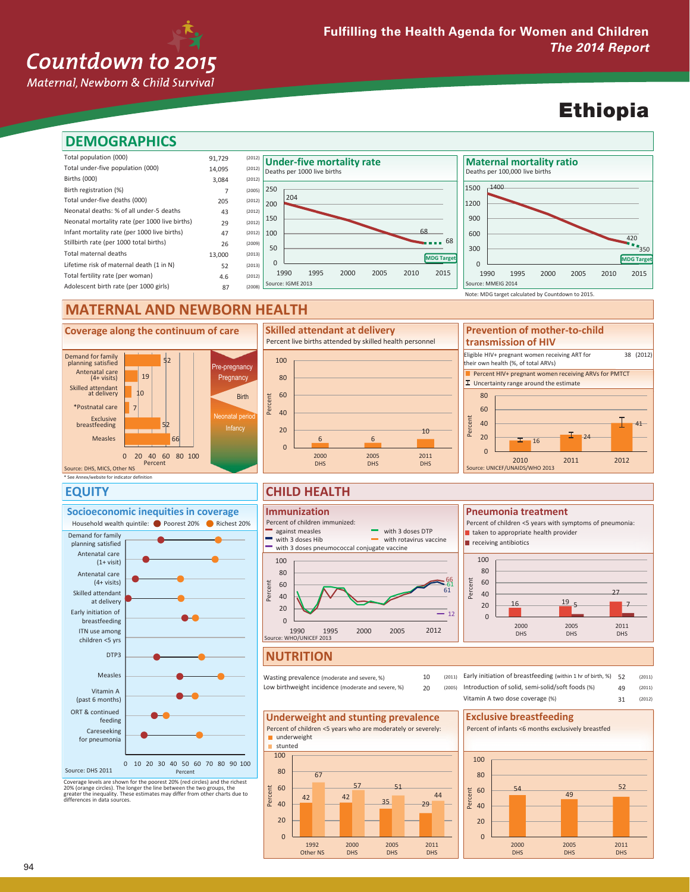### Countdown to 2015

Maternal, Newborn & Child Survival

### Ethiopia



#### \* See Annex/website for indicator definition 66 52 7  $1<sub>0</sub>$ 19 52  $0 \t 20 \t 40 \t 60 \t 80 \t 100$ **Coverage along the continuum of care** Source: DHS, MICS, Other NS Skilled attendant at delivery \*Postnatal care breastfeeding Exclusive Measles 6 6 10  $\Omega$  $20$ 40 60 80 100 2000 DHS 2005 DHS 2011 DHS Percent **Skilled attendant at delivery** Percent live births attended by skilled health personnel  $\frac{1}{16}$  24 41  $\Omega$ 20 40 60 80 2010 2011 2012 Percent Source: UNICEF/UNAIDS/WHO 2013 Demand for family planning satisfied Antenatal care (4+ visits) Percent HIV+ pregnant women receiving ARVs for PMTCT  $\Gamma$  Uncertainty range around the estimate re-pregnancy **Pregnancy** Birth Neonatal period Infancy Eligible HIV+ pregnant women receiving ART for their own health (%, of total ARVs) 38 (2012) **Prevention of mother-to-child transmission of HIV**

#### **EQUITY**



Coverage levels are shown for the poorest 20% (red circles) and the richest 20% (orange circles). The longer the line between the two groups, the greater enequality. These estimates may differ from other charts due to diff

### **CHILD HEALTH**



### **NUTRITION**

10 20 Wasting prevalence (moderate and severe, %) Low birthweight incidence (moderate and severe, %)

(2011) (2011) (2012) 49 Early initiation of breastfeeding (within 1 hr of birth, %) 52 (2011) (2005) Introduction of solid, semi-solid/soft foods (%)

2005 DHS





#### 31 Vitamin A two dose coverage (%)

 $16 \t\t 195$ 

Percent of children <5 years with symptoms of pneumonia:

2000 DHS

**Pneumonia treatment**

taken to appropriate health provider

receiving antibiotics

Percent

27  $5 \frac{1}{2}$ 

> 2011 DHS